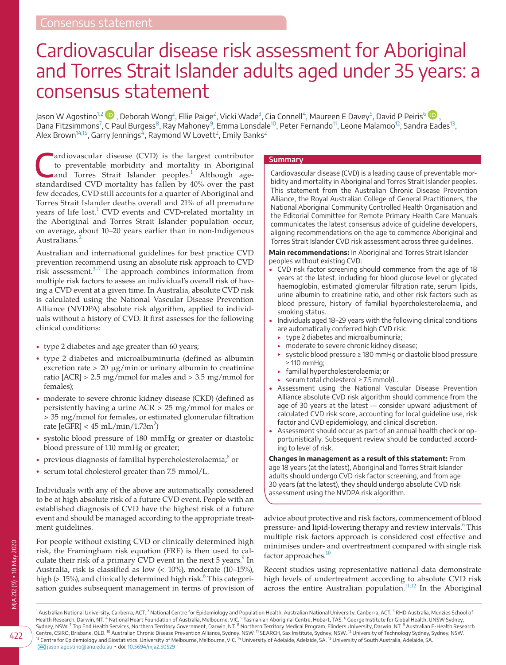# Cardiovascular disease risk assessment for Aboriginal and Torres Strait Islander adults aged under 35 years: a consensus statement

Jason W Agostino<sup>1[,](https://orcid.org/0000-0002-6898-3870)[2](#page-0-1)</sup>  $\bm{\mathbb{D}}$  , Deborah Wong<sup>2</sup>, Ellie Paige<sup>2</sup>, Vicki Wade<sup>[3](#page-0-2)</sup>, Cia Connell<sup>[4](#page-0-3)</sup>, Maureen E Davey<sup>[5](#page-0-4)</sup>, David P Peiris<sup>[6](#page-0-5)</sup>  $\bm{\mathbb{D}}$  , Dana Fitzsimmons<sup>[7](#page-0-6)</sup>, C Paul Burgess<sup>8</sup>, Ray Mahoney<sup>[9](#page-0-8)</sup>, Emma Lonsdale<sup>[10](#page-0-9)</sup>, Peter Fernando<sup>11</sup>, Leone Malamoo<sup>12</sup>, Sandra Eades<sup>13</sup>, Alex Brown $^{14,15}$ , Garry Jennings $^{7}$ , Raymond W Lovett $^{2}$  $^{2}$  $^{2}$ , Emily Banks $^{2}$ 

ardiovascular disease (CVD) is the largest contributor<br>to preventable morbidity and mortality in Aboriginal<br>and Torres Strait Islander peoples.<sup>1</sup> Although ageto preventable morbidity and mortality in Aboriginal and Torres Strait Islander peoples.<sup>1</sup> Although agestandardised CVD mortality has fallen by 40% over the past few decades, CVD still accounts for a quarter of Aboriginal and Torres Strait Islander deaths overall and 21% of all premature years of life lost.<sup>1</sup> CVD events and CVD-related mortality in the Aboriginal and Torres Strait Islander population occur, on average, about 10–20 years earlier than in non-Indigenous Australians.<sup>[2](#page-4-1)</sup>

Australian and international guidelines for best practice CVD prevention recommend using an absolute risk approach to CVD risk assessment. $3-7$  The approach combines information from multiple risk factors to assess an individual's overall risk of having a CVD event at a given time. In Australia, absolute CVD risk is calculated using the National Vascular Disease Prevention Alliance (NVDPA) absolute risk algorithm, applied to individuals without a history of CVD. It first assesses for the following clinical conditions:

- type 2 diabetes and age greater than 60 years;
- type 2 diabetes and microalbuminuria (defined as albumin excretion rate  $> 20 \mu g/min$  or urinary albumin to creatinine ratio [ACR] > 2.5 mg/mmol for males and > 3.5 mg/mmol for females);
- moderate to severe chronic kidney disease (CKD) (defined as persistently having a urine ACR > 25 mg/mmol for males or > 35 mg/mmol for females, or estimated glomerular filtration rate  $[e\widetilde{GFR}] < 45$  mL/min/1.73m<sup>2</sup>)
- systolic blood pressure of 180 mmHg or greater or diastolic blood pressure of 110 mmHg or greater;
- previous diagnosis of familial hypercholesterolaemia; $\delta$  or
- serum total cholesterol greater than 7.5 mmol/L.

Individuals with any of the above are automatically considered to be at high absolute risk of a future CVD event. People with an established diagnosis of CVD have the highest risk of a future event and should be managed according to the appropriate treatment guidelines.

For people without existing CVD or clinically determined high risk, the Framingham risk equation (FRE) is then used to cal-culate their risk of a primary CVD event in the next 5 years.<sup>[9](#page-4-4)</sup> In Australia, risk is classified as low (< 10%), moderate (10–15%), high (> 15%), and clinically determined high risk. $^6$  This categorisation guides subsequent management in terms of provision of

#### **Summary**

Cardiovascular disease (CVD) is a leading cause of preventable morbidity and mortality in Aboriginal and Torres Strait Islander peoples. This statement from the Australian Chronic Disease Prevention Alliance, the Royal Australian College of General Practitioners, the National Aboriginal Community Controlled Health Organisation and the Editorial Committee for Remote Primary Health Care Manuals communicates the latest consensus advice of guideline developers, aligning recommendations on the age to commence Aboriginal and Torres Strait Islander CVD risk assessment across three guidelines.

**Main recommendations:** In Aboriginal and Torres Strait Islander

- peoples without existing CVD:
- CVD risk factor screening should commence from the age of 18 years at the latest, including for blood glucose level or glycated haemoglobin, estimated glomerular filtration rate, serum lipids, urine albumin to creatinine ratio, and other risk factors such as blood pressure, history of familial hypercholesterolaemia, and smoking status.
- Individuals aged 18–29 years with the following clinical conditions are automatically conferred high CVD risk:
	- ‣ type 2 diabetes and microalbuminuria;
	- ‣ moderate to severe chronic kidney disease;
	- ‣ systolic blood pressure ≥ 180 mmHg or diastolic blood pressure ≥ 110 mmHg;
	- familial hypercholesterolaemia; or
	- serum total cholesterol > 7.5 mmol/L.
- Assessment using the National Vascular Disease Prevention Alliance absolute CVD risk algorithm should commence from the age of 30 years at the latest — consider upward adjustment of calculated CVD risk score, accounting for local guideline use, risk factor and CVD epidemiology, and clinical discretion.
- Assessment should occur as part of an annual health check or opportunistically. Subsequent review should be conducted according to level of risk.

**Changes in management as a result of this statement:** From age 18 years (at the latest), Aboriginal and Torres Strait Islander adults should undergo CVD risk factor screening, and from age 30 years (at the latest), they should undergo absolute CVD risk assessment using the NVDPA risk algorithm.

advice about protective and risk factors, commencement of blood pressure- and lipid-lowering therapy and review intervals.<sup>6</sup> This multiple risk factors approach is considered cost effective and minimises under- and overtreatment compared with single risk factor approaches.<sup>10</sup>

<span id="page-0-11"></span><span id="page-0-10"></span><span id="page-0-8"></span><span id="page-0-5"></span><span id="page-0-4"></span><span id="page-0-2"></span>Recent studies using representative national data demonstrate high levels of undertreatment according to absolute CVD risk across the entire Australian population.<sup>11,12</sup> In the Aboriginal

<span id="page-0-13"></span><span id="page-0-12"></span><span id="page-0-9"></span><span id="page-0-7"></span><span id="page-0-6"></span><span id="page-0-3"></span><span id="page-0-1"></span><span id="page-0-0"></span><sup>1</sup> Australian National University, Canberra, ACT. <sup>2</sup> National Centre for Epidemiology and Population Health, Australian National University, Canberra, ACT. <sup>3</sup> RHD Australia, Menzies School of<br>Health Research, Darwin, NT [jason.agostino@anu.edu.au](mailto:jason.agostino@anu.edu.au) ▪ doi: [10.5694/mja2.50529](https://doi.org/10.5694/mja2.50529)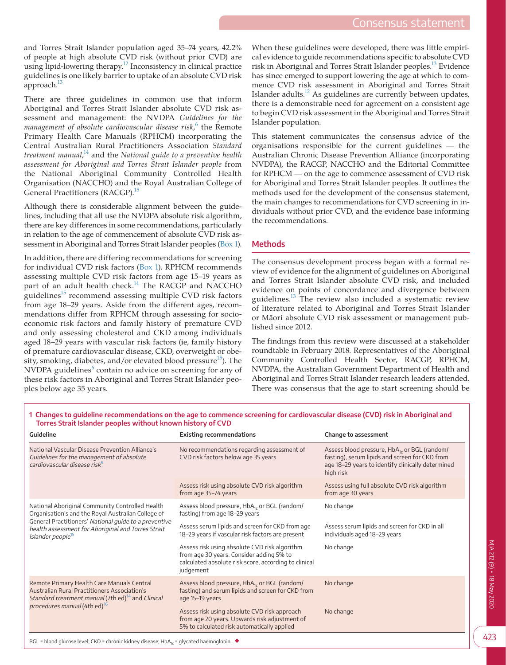and Torres Strait Islander population aged 35–74 years, 42.2% of people at high absolute CVD risk (without prior CVD) are using lipid-lowering therapy[.12](#page-4-8) Inconsistency in clinical practice guidelines is one likely barrier to uptake of an absolute CVD risk  $approach.<sup>13</sup>$ 

There are three guidelines in common use that inform Aboriginal and Torres Strait Islander absolute CVD risk assessment and management: the NVDPA *Guidelines for the*  management of absolute cardiovascular disease risk,<sup>[6](#page-4-5)</sup> the Remote Primary Health Care Manuals (RPHCM) incorporating the Central Australian Rural Practitioners Association *Standard treatment manual*, [14](#page-4-10) and the *National guide to a preventive health assessment for Aboriginal and Torres Strait Islander people* from the National Aboriginal Community Controlled Health Organisation (NACCHO) and the Royal Australian College of General Practitioners (RACGP)[.15](#page-4-11)

Although there is considerable alignment between the guidelines, including that all use the NVDPA absolute risk algorithm, there are key differences in some recommendations, particularly in relation to the age of commencement of absolute CVD risk assessment in Aboriginal and Torres Strait Islander peoples [\(Box 1\)](#page-1-0).

In addition, there are differing recommendations for screening for individual CVD risk factors [\(Box 1](#page-1-0)). RPHCM recommends assessing multiple CVD risk factors from age 15–19 years as part of an adult health check.<sup>14</sup> The RACGP and NACCHO guidelines $15$  recommend assessing multiple CVD risk factors from age 18–29 years. Aside from the different ages, recommendations differ from RPHCM through assessing for socioeconomic risk factors and family history of premature CVD and only assessing cholesterol and CKD among individuals aged 18–29 years with vascular risk factors (ie, family history of premature cardiovascular disease, CKD, overweight or obesity, smoking, diabetes, and/or elevated blood pressure<sup>15</sup>). The NVDPA guidelines<sup>[6](#page-4-5)</sup> contain no advice on screening for any of these risk factors in Aboriginal and Torres Strait Islander peoples below age 35 years.

When these guidelines were developed, there was little empirical evidence to guide recommendations specific to absolute CVD risk in Aboriginal and Torres Strait Islander peoples.<sup>13</sup> Evidence has since emerged to support lowering the age at which to commence CVD risk assessment in Aboriginal and Torres Strait Islander adults. $^{12}$  As guidelines are currently between updates, there is a demonstrable need for agreement on a consistent age to begin CVD risk assessment in the Aboriginal and Torres Strait Islander population.

This statement communicates the consensus advice of the organisations responsible for the current guidelines — the Australian Chronic Disease Prevention Alliance (incorporating NVDPA), the RACGP, NACCHO and the Editorial Committee for RPHCM — on the age to commence assessment of CVD risk for Aboriginal and Torres Strait Islander peoples. It outlines the methods used for the development of the consensus statement, the main changes to recommendations for CVD screening in individuals without prior CVD, and the evidence base informing the recommendations.

# **Methods**

The consensus development process began with a formal review of evidence for the alignment of guidelines on Aboriginal and Torres Strait Islander absolute CVD risk, and included evidence on points of concordance and divergence between guidelines.<sup>13</sup> The review also included a systematic review of literature related to Aboriginal and Torres Strait Islander or Māori absolute CVD risk assessment or management published since 2012.

The findings from this review were discussed at a stakeholder roundtable in February 2018. Representatives of the Aboriginal Community Controlled Health Sector, RACGP, RPHCM, NVDPA, the Australian Government Department of Health and Aboriginal and Torres Strait Islander research leaders attended. There was consensus that the age to start screening should be

| Guideline                                                                                                                                                                                                                                             | <b>Existing recommendations</b>                                                                                                                                 | Change to assessment                                                                                                                                                         |
|-------------------------------------------------------------------------------------------------------------------------------------------------------------------------------------------------------------------------------------------------------|-----------------------------------------------------------------------------------------------------------------------------------------------------------------|------------------------------------------------------------------------------------------------------------------------------------------------------------------------------|
| National Vascular Disease Prevention Alliance's<br>Guidelines for the management of absolute<br>cardiovascular disease risk <sup>5</sup>                                                                                                              | No recommendations regarding assessment of<br>CVD risk factors below age 35 years                                                                               | Assess blood pressure, HbA <sub>1c</sub> or BGL (random/<br>fasting), serum lipids and screen for CKD from<br>age 18-29 years to identify clinically determined<br>high risk |
|                                                                                                                                                                                                                                                       | Assess risk using absolute CVD risk algorithm<br>from age 35-74 years                                                                                           | Assess using full absolute CVD risk algorithm<br>from age 30 years                                                                                                           |
| National Aboriginal Community Controlled Health<br>Organisation's and the Royal Australian College of<br>General Practitioners' National quide to a preventive<br>health assessment for Aboriginal and Torres Strait<br>Islander people <sup>15</sup> | Assess blood pressure, HbA <sub>1c</sub> or BGL (random/<br>fasting) from age 18-29 years                                                                       | No change                                                                                                                                                                    |
|                                                                                                                                                                                                                                                       | Assess serum lipids and screen for CKD from age<br>18-29 years if vascular risk factors are present                                                             | Assess serum lipids and screen for CKD in all<br>individuals aged 18-29 years                                                                                                |
|                                                                                                                                                                                                                                                       | Assess risk using absolute CVD risk algorithm<br>from age 30 years. Consider adding 5% to<br>calculated absolute risk score, according to clinical<br>judgement | No change                                                                                                                                                                    |
| Remote Primary Health Care Manuals Central<br>Australian Rural Practitioners Association's<br>Standard treatment manual (7th ed) <sup>14</sup> and Clinical<br>procedures manual (4th ed) <sup>16</sup>                                               | Assess blood pressure, HbA <sub>1c</sub> or BGL (random/<br>fasting) and serum lipids and screen for CKD from<br>age 15-19 years                                | No change                                                                                                                                                                    |
|                                                                                                                                                                                                                                                       | Assess risk using absolute CVD risk approach<br>from age 20 years. Upwards risk adjustment of<br>5% to calculated risk automatically applied                    | No change                                                                                                                                                                    |
|                                                                                                                                                                                                                                                       |                                                                                                                                                                 |                                                                                                                                                                              |

<span id="page-1-0"></span>**1 Changes to guideline recommendations on the age to commence screening for cardiovascular disease (CVD) risk in Aboriginal and Torres Strait Islander peoples without known history of CVD**

BGL = blood glucose level; CKD = chronic kidney disease; HbA<sub>1c</sub> = glycated haemoglobin.  $\blacklozenge$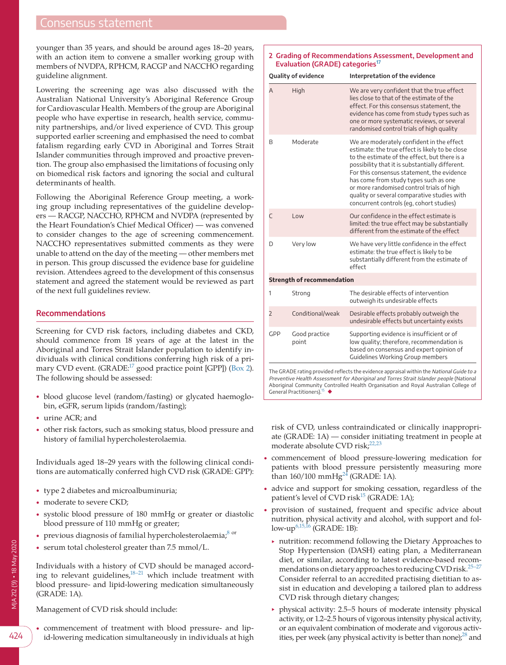# Consensus statement

younger than 35 years, and should be around ages 18–20 years, with an action item to convene a smaller working group with members of NVDPA, RPHCM, RACGP and NACCHO regarding guideline alignment.

Lowering the screening age was also discussed with the Australian National University's Aboriginal Reference Group for Cardiovascular Health. Members of the group are Aboriginal people who have expertise in research, health service, community partnerships, and/or lived experience of CVD. This group supported earlier screening and emphasised the need to combat fatalism regarding early CVD in Aboriginal and Torres Strait Islander communities through improved and proactive prevention. The group also emphasised the limitations of focusing only on biomedical risk factors and ignoring the social and cultural determinants of health.

Following the Aboriginal Reference Group meeting, a working group including representatives of the guideline developers — RACGP, NACCHO, RPHCM and NVDPA (represented by the Heart Foundation's Chief Medical Officer) — was convened to consider changes to the age of screening commencement. NACCHO representatives submitted comments as they were unable to attend on the day of the meeting — other members met in person. This group discussed the evidence base for guideline revision. Attendees agreed to the development of this consensus statement and agreed the statement would be reviewed as part of the next full guidelines review.

#### **Recommendations**

Screening for CVD risk factors, including diabetes and CKD, should commence from 18 years of age at the latest in the Aboriginal and Torres Strait Islander population to identify individuals with clinical conditions conferring high risk of a pri-mary CVD event. (GRADE:<sup>17</sup> good practice point [GPP]) [\(Box 2\)](#page-2-0). The following should be assessed:

- blood glucose level (random/fasting) or glycated haemoglobin, eGFR, serum lipids (random/fasting);
- urine ACR; and
- other risk factors, such as smoking status, blood pressure and history of familial hypercholesterolaemia.

Individuals aged 18–29 years with the following clinical conditions are automatically conferred high CVD risk (GRADE: GPP):

- type 2 diabetes and microalbuminuria;
- moderate to severe CKD;
- systolic blood pressure of 180 mmHg or greater or diastolic blood pressure of 110 mmHg or greater;
- previous diagnosis of familial hypercholesterolaemia; $8$  or
- serum total cholesterol greater than 7.5 mmol/L.

Individuals with a history of CVD should be managed according to relevant guidelines, $18-21$  which include treatment with blood pressure- and lipid-lowering medication simultaneously (GRADE: 1A).

id-lowering medication simultaneously in individuals at high

Management of CVD risk should include:

• commencement of treatment with blood pressure- and lip-

<span id="page-2-0"></span>**2 Grading of Recommendations Assessment, Development and Evaluation (GRADE) categories[17](#page-4-13)**

| <b>Quality of evidence</b> |                                         | Interpretation of the evidence                                                                                                                                                                                                                                                                                                                                                                                                  |  |
|----------------------------|-----------------------------------------|---------------------------------------------------------------------------------------------------------------------------------------------------------------------------------------------------------------------------------------------------------------------------------------------------------------------------------------------------------------------------------------------------------------------------------|--|
| A                          | High                                    | We are very confident that the true effect<br>lies close to that of the estimate of the<br>effect. For this consensus statement, the<br>evidence has come from study types such as<br>one or more systematic reviews, or several<br>randomised control trials of high quality                                                                                                                                                   |  |
| B                          | Moderate                                | We are moderately confident in the effect<br>estimate: the true effect is likely to be close<br>to the estimate of the effect, but there is a<br>possibility that it is substantially different.<br>For this consensus statement, the evidence<br>has come from study types such as one<br>or more randomised control trials of high<br>quality or several comparative studies with<br>concurrent controls (eq. cohort studies) |  |
| $\subset$                  | Low                                     | Our confidence in the effect estimate is<br>limited: the true effect may be substantially<br>different from the estimate of the effect                                                                                                                                                                                                                                                                                          |  |
| D                          | Very low                                | We have very little confidence in the effect<br>estimate: the true effect is likely to be<br>substantially different from the estimate of<br>effect                                                                                                                                                                                                                                                                             |  |
|                            | <b>Strength of recommendation</b>       |                                                                                                                                                                                                                                                                                                                                                                                                                                 |  |
| 1                          | Strong                                  | The desirable effects of intervention<br>outweigh its undesirable effects                                                                                                                                                                                                                                                                                                                                                       |  |
| $\overline{2}$             | Conditional/weak                        | Desirable effects probably outweigh the<br>undesirable effects but uncertainty exists                                                                                                                                                                                                                                                                                                                                           |  |
| GPP                        | Good practice<br>point                  | Supporting evidence is insufficient or of<br>low quality; therefore, recommendation is<br>based on consensus and expert opinion of<br><b>Guidelines Working Group members</b>                                                                                                                                                                                                                                                   |  |
|                            | General Practitioners). <sup>15</sup> ◆ | The GRADE rating provided reflects the evidence appraisal within the National Guide to a<br>Preventive Health Assessment for Aboriginal and Torres Strait Islander people (National<br>Aboriginal Community Controlled Health Organisation and Royal Australian College of                                                                                                                                                      |  |

risk of CVD, unless contraindicated or clinically inappropriate (GRADE: 1A) — consider initiating treatment in people at moderate absolute CVD risk; $^{22,23}$  $^{22,23}$  $^{22,23}$ 

- commencement of blood pressure-lowering medication for patients with blood pressure persistently measuring more than  $160/100 \text{ mmHg}^{24}$  $160/100 \text{ mmHg}^{24}$  $160/100 \text{ mmHg}^{24}$  (GRADE: 1A).
- advice and support for smoking cessation, regardless of the patient's level of CVD risk<sup>15</sup> (GRADE: 1A);
- provision of sustained, frequent and specific advice about nutrition, physical activity and alcohol, with support and follow-up<sup>6,15,16</sup> (GRADE: 1B):
	- ‣ nutrition: recommend following the Dietary Approaches to Stop Hypertension (DASH) eating plan, a Mediterranean diet, or similar, according to latest evidence-based recommendations on dietary approaches to reducing CVD risk.<sup>25-27</sup> Consider referral to an accredited practising dietitian to assist in education and developing a tailored plan to address CVD risk through dietary changes;
	- ‣ physical activity: 2.5–5 hours of moderate intensity physical activity, or 1.2–2.5 hours of vigorous intensity physical activity, or an equivalent combination of moderate and vigorous activities, per week (any physical activity is better than none); $^{28}$  and

424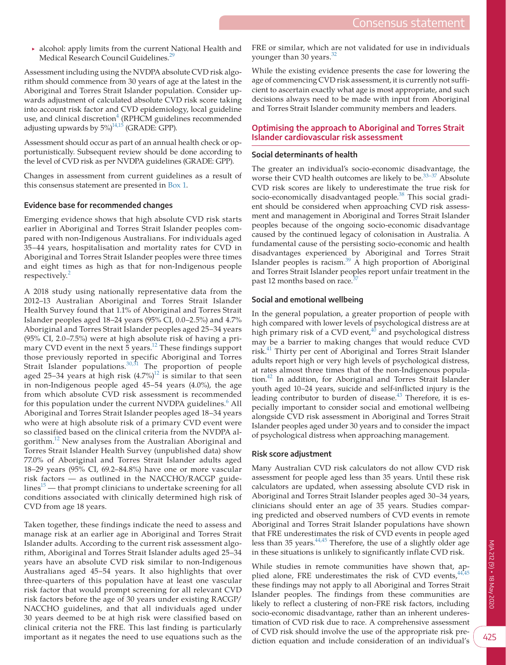‣ alcohol: apply limits from the current National Health and Medical Research Council Guidelines.<sup>[29](#page-5-4)</sup>

Assessment including using the NVDPA absolute CVD risk algorithm should commence from 30 years of age at the latest in the Aboriginal and Torres Strait Islander population. Consider upwards adjustment of calculated absolute CVD risk score taking into account risk factor and CVD epidemiology, local guideline use, and clinical discretion<sup>[4](#page-4-15)</sup> (RPHCM guidelines recommended adjusting upwards by  $5\%$ <sup>14,15</sup> (GRADE: GPP).

Assessment should occur as part of an annual health check or opportunistically. Subsequent review should be done according to the level of CVD risk as per NVDPA guidelines (GRADE: GPP).

Changes in assessment from current guidelines as a result of this consensus statement are presented in [Box 1](#page-1-0).

## **Evidence base for recommended changes**

Emerging evidence shows that high absolute CVD risk starts earlier in Aboriginal and Torres Strait Islander peoples compared with non-Indigenous Australians. For individuals aged 35–44 years, hospitalisation and mortality rates for CVD in Aboriginal and Torres Strait Islander peoples were three times and eight times as high as that for non-Indigenous people respectively.<sup>[2](#page-4-1)</sup>

A 2018 study using nationally representative data from the 2012–13 Australian Aboriginal and Torres Strait Islander Health Survey found that 1.1% of Aboriginal and Torres Strait Islander peoples aged 18–24 years (95% CI, 0.0–2.5%) and 4.7% Aboriginal and Torres Strait Islander peoples aged 25–34 years (95% CI, 2.0–7.5%) were at high absolute risk of having a primary CVD event in the next 5 years.<sup>12</sup> These findings support those previously reported in specific Aboriginal and Torres Strait Islander populations.<sup>30,31</sup> The proportion of people aged 25–34 years at high risk  $(4.7\%)$ <sup>12</sup> is similar to that seen in non-Indigenous people aged 45–54 years (4.0%), the age from which absolute CVD risk assessment is recommended for this population under the current NVDPA guidelines.<sup>[6](#page-4-5)</sup> All Aboriginal and Torres Strait Islander peoples aged 18–34 years who were at high absolute risk of a primary CVD event were so classified based on the clinical criteria from the NVDPA algorithm.<sup>12</sup> New analyses from the Australian Aboriginal and Torres Strait Islander Health Survey (unpublished data) show 77.0% of Aboriginal and Torres Strait Islander adults aged 18–29 years (95% CI, 69.2–84.8%) have one or more vascular risk factors — as outlined in the NACCHO/RACGP guide $lines<sup>15</sup>$  — that prompt clinicians to undertake screening for all conditions associated with clinically determined high risk of CVD from age 18 years.

Taken together, these findings indicate the need to assess and manage risk at an earlier age in Aboriginal and Torres Strait Islander adults. According to the current risk assessment algorithm, Aboriginal and Torres Strait Islander adults aged 25–34 years have an absolute CVD risk similar to non-Indigenous Australians aged 45–54 years. It also highlights that over three-quarters of this population have at least one vascular risk factor that would prompt screening for all relevant CVD risk factors before the age of 30 years under existing RACGP/ NACCHO guidelines, and that all individuals aged under 30 years deemed to be at high risk were classified based on clinical criteria not the FRE. This last finding is particularly important as it negates the need to use equations such as the FRE or similar, which are not validated for use in individuals younger than 30 years.<sup>[32](#page-5-6)</sup>

While the existing evidence presents the case for lowering the age of commencing CVD risk assessment, it is currently not sufficient to ascertain exactly what age is most appropriate, and such decisions always need to be made with input from Aboriginal and Torres Strait Islander community members and leaders.

# **Optimising the approach to Aboriginal and Torres Strait Islander cardiovascular risk assessment**

#### **Social determinants of health**

The greater an individual's socio-economic disadvantage, the worse their CVD health outcomes are likely to be. $33-37$  Absolute CVD risk scores are likely to underestimate the true risk for socio-economically disadvantaged people.<sup>[38](#page-5-8)</sup> This social gradient should be considered when approaching CVD risk assessment and management in Aboriginal and Torres Strait Islander peoples because of the ongoing socio-economic disadvantage caused by the continued legacy of colonisation in Australia. A fundamental cause of the persisting socio-economic and health disadvantages experienced by Aboriginal and Torres Strait Islander peoples is racism. $39$  A high proportion of Aboriginal and Torres Strait Islander peoples report unfair treatment in the past 12 months based on race.<sup>3</sup>

## **Social and emotional wellbeing**

In the general population, a greater proportion of people with high compared with lower levels of psychological distress are at high primary risk of a CVD event, $40$  and psychological distress may be a barrier to making changes that would reduce CVD risk.<sup>41</sup> Thirty per cent of Aboriginal and Torres Strait Islander adults report high or very high levels of psychological distress, at rates almost three times that of the non-Indigenous population.<sup>42</sup> In addition, for Aboriginal and Torres Strait Islander youth aged 10–24 years, suicide and self-inflicted injury is the leading contributor to burden of disease.<sup>43</sup> Therefore, it is especially important to consider social and emotional wellbeing alongside CVD risk assessment in Aboriginal and Torres Strait Islander peoples aged under 30 years and to consider the impact of psychological distress when approaching management.

## **Risk score adjustment**

Many Australian CVD risk calculators do not allow CVD risk assessment for people aged less than 35 years. Until these risk calculators are updated, when assessing absolute CVD risk in Aboriginal and Torres Strait Islander peoples aged 30–34 years, clinicians should enter an age of 35 years. Studies comparing predicted and observed numbers of CVD events in remote Aboriginal and Torres Strait Islander populations have shown that FRE underestimates the risk of CVD events in people aged less than 35 years.  $44,45$  Therefore, the use of a slightly older age in these situations is unlikely to significantly inflate CVD risk.

While studies in remote communities have shown that, applied alone, FRE underestimates the risk of CVD events,  $44.45$ these findings may not apply to all Aboriginal and Torres Strait Islander peoples. The findings from these communities are likely to reflect a clustering of non-FRE risk factors, including socio-economic disadvantage, rather than an inherent underestimation of CVD risk due to race. A comprehensive assessment of CVD risk should involve the use of the appropriate risk prediction equation and include consideration of an individual's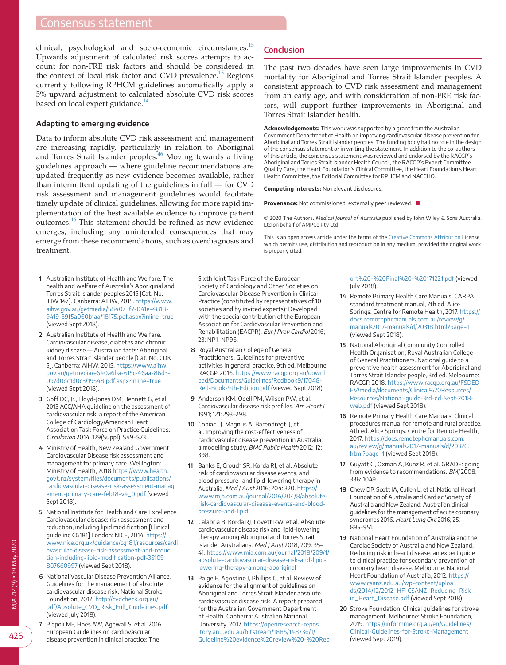# Consensus statement

clinical, psychological and socio-economic circumstances.[15](#page-4-11) Upwards adjustment of calculated risk scores attempts to account for non-FRE risk factors and should be considered in the context of local risk factor and CVD prevalence.<sup>[15](#page-4-11)</sup> Regions currently following RPHCM guidelines automatically apply a 5% upward adjustment to calculated absolute CVD risk scores based on local expert guidance. $^{14}$  $^{14}$  $^{14}$ 

#### **Adapting to emerging evidence**

Data to inform absolute CVD risk assessment and management are increasing rapidly, particularly in relation to Aboriginal and Torres Strait Islander peoples.<sup>46</sup> Moving towards a living guidelines approach — where guideline recommendations are updated frequently as new evidence becomes available, rather than intermittent updating of the guidelines in full — for CVD risk assessment and management guidelines would facilitate timely update of clinical guidelines, allowing for more rapid implementation of the best available evidence to improve patient outcomes.[46](#page-5-16) This statement should be refined as new evidence emerges, including any unintended consequences that may emerge from these recommendations, such as overdiagnosis and treatment.

- <span id="page-4-0"></span> **1** Australian Institute of Health and Welfare. The health and welfare of Australia's Aboriginal and Torres Strait Islander peoples 2015 [Cat. No. IHW 147]. Canberra: AIHW, 2015. [https://www.](https://www.aihw.gov.au/getmedia/584073f7-041e-4818-9419-39f5a060b1aa/18175.pdf.aspx?inline=true) [aihw.gov.au/getmedia/584073f7-041e-4818-](https://www.aihw.gov.au/getmedia/584073f7-041e-4818-9419-39f5a060b1aa/18175.pdf.aspx?inline=true) [9419-39f5a060b1aa/18175.pdf.aspx?inline=true](https://www.aihw.gov.au/getmedia/584073f7-041e-4818-9419-39f5a060b1aa/18175.pdf.aspx?inline=true) (viewed Sept 2018).
- <span id="page-4-1"></span> **2** Australian Institute of Health and Welfare. Cardiovascular disease, diabetes and chronic kidney disease — Australian facts: Aboriginal and Torres Strait Islander people [Cat. No. CDK 5]. Canberra: AIHW, 2015. [https://www.aihw.](https://www.aihw.gov.au/getmedia/e640a6ba-615c-46aa-86d3-097d0dc1d0c3/19548.pdf.aspx?inline=true) [gov.au/getmedia/e640a6ba-615c-46aa-86d3-](https://www.aihw.gov.au/getmedia/e640a6ba-615c-46aa-86d3-097d0dc1d0c3/19548.pdf.aspx?inline=true) [097d0dc1d0c3/19548.pdf.aspx?inline=true](https://www.aihw.gov.au/getmedia/e640a6ba-615c-46aa-86d3-097d0dc1d0c3/19548.pdf.aspx?inline=true) (viewed Sept 2018).
- <span id="page-4-2"></span> **3** Goff DC, Jr., Lloyd-Jones DM, Bennett G, et al. 2013 ACC/AHA guideline on the assessment of cardiovascular risk: a report of the American College of Cardiology/American Heart Association Task Force on Practice Guidelines. Circulation 2014; 129(Suppl): S49–S73.
- <span id="page-4-15"></span> **4** Ministry of Health, New Zealand Government. Cardiovascular Disease risk assessment and management for primary care. Wellington: Ministry of Health, 2018 [https://www.health.](https://www.health.govt.nz/system/files/documents/publications/cardiovascular-disease-risk-assessment-management-primary-care-feb18-v4_0.pdf) [govt.nz/system/files/documents/publications/](https://www.health.govt.nz/system/files/documents/publications/cardiovascular-disease-risk-assessment-management-primary-care-feb18-v4_0.pdf) [cardiovascular-disease-risk-assessment-manag](https://www.health.govt.nz/system/files/documents/publications/cardiovascular-disease-risk-assessment-management-primary-care-feb18-v4_0.pdf) [ement-primary-care-feb18-v4\\_0.pdf](https://www.health.govt.nz/system/files/documents/publications/cardiovascular-disease-risk-assessment-management-primary-care-feb18-v4_0.pdf) (viewed Sept 2018).
- **5** National Institute for Health and Care Excellence. Cardiovascular disease: risk assessment and reduction, including lipid modification [Clinical guideline CG181] London: NICE, 2014. [https://](https://www.nice.org.uk/guidance/cg181/resources/cardiovascular-disease-risk-assessment-and-reduction-including-lipid-modification-pdf-35109807660997) [www.nice.org.uk/guidance/cg181/resources/cardi](https://www.nice.org.uk/guidance/cg181/resources/cardiovascular-disease-risk-assessment-and-reduction-including-lipid-modification-pdf-35109807660997) [ovascular-disease-risk-assessment-and-reduc](https://www.nice.org.uk/guidance/cg181/resources/cardiovascular-disease-risk-assessment-and-reduction-including-lipid-modification-pdf-35109807660997) [tion-including-lipid-modification-pdf-35109](https://www.nice.org.uk/guidance/cg181/resources/cardiovascular-disease-risk-assessment-and-reduction-including-lipid-modification-pdf-35109807660997) [807660997](https://www.nice.org.uk/guidance/cg181/resources/cardiovascular-disease-risk-assessment-and-reduction-including-lipid-modification-pdf-35109807660997) (viewed Sept 2018).
- <span id="page-4-5"></span> **6** National Vascular Disease Prevention Alliance. Guidelines for the management of absolute cardiovascular disease risk. National Stroke Foundation, 2012. [http://cvdcheck.org.au/](http://cvdcheck.org.au/pdf/Absolute_CVD_Risk_Full_Guidelines.pdf) [pdf/Absolute\\_CVD\\_Risk\\_Full\\_Guidelines.pdf](http://cvdcheck.org.au/pdf/Absolute_CVD_Risk_Full_Guidelines.pdf) (viewed July 2018).
- **7** Piepoli MF, Hoes AW, Agewall S, et al. 2016 European Guidelines on cardiovascular disease prevention in clinical practice: The

Sixth Joint Task Force of the European Society of Cardiology and Other Societies on Cardiovascular Disease Prevention in Clinical Practice (constituted by representatives of 10 societies and by invited experts): Developed with the special contribution of the European Association for Cardiovascular Prevention and Rehabilitation (EACPR). Eur J Prev Cardiol 2016; 23: NP1–NP96.

- <span id="page-4-3"></span> **8** Royal Australian College of General Practitioners. Guidelines for preventive activities in general practice, 9th ed. Melbourne: RACGP, 2016. [https://www.racgp.org.au/downl](https://www.racgp.org.au/download/Documents/Guidelines/Redbook9/17048-Red-Book-9th-Edition.pdf) [oad/Documents/Guidelines/Redbook9/17048-](https://www.racgp.org.au/download/Documents/Guidelines/Redbook9/17048-Red-Book-9th-Edition.pdf) [Red-Book-9th-Edition.pdf](https://www.racgp.org.au/download/Documents/Guidelines/Redbook9/17048-Red-Book-9th-Edition.pdf) (viewed Sept 2018).
- <span id="page-4-4"></span> **9** Anderson KM, Odell PM, Wilson PW, et al. Cardiovascular disease risk profiles. Am Heart J 1991; 121: 293–298.
- <span id="page-4-6"></span>**10** Cobiac LJ, Magnus A, Barendregt JJ, et al. Improving the cost-effectiveness of cardiovascular disease prevention in Australia: a modelling study. BMC Public Health 2012; 12: 398.
- <span id="page-4-7"></span>**11** Banks E, Crouch SR, Korda RJ, et al. Absolute risk of cardiovascular disease events, and blood pressure- and lipid-lowering therapy in Australia. Med J Aust 2016; 204: 320. [https://](https://www.mja.com.au/journal/2016/204/8/absolute-risk-cardiovascular-disease-events-and-blood-pressure-and-lipid) [www.mja.com.au/journal/2016/204/8/absolute](https://www.mja.com.au/journal/2016/204/8/absolute-risk-cardiovascular-disease-events-and-blood-pressure-and-lipid)[risk-cardiovascular-disease-events-and-blood](https://www.mja.com.au/journal/2016/204/8/absolute-risk-cardiovascular-disease-events-and-blood-pressure-and-lipid)[pressure-and-lipid](https://www.mja.com.au/journal/2016/204/8/absolute-risk-cardiovascular-disease-events-and-blood-pressure-and-lipid)
- <span id="page-4-8"></span>**12** Calabria B, Korda RJ, Lovett RW, et al. Absolute cardiovascular disease risk and lipid-lowering therapy among Aboriginal and Torres Strait Islander Australians. Med J Aust 2018; 209: 35– 41. [https://www.mja.com.au/journal/2018/209/1/](https://www.mja.com.au/journal/2018/209/1/absolute-cardiovascular-disease-risk-and-lipid-lowering-therapy-among-aboriginal) [absolute-cardiovascular-disease-risk-and-lipid](https://www.mja.com.au/journal/2018/209/1/absolute-cardiovascular-disease-risk-and-lipid-lowering-therapy-among-aboriginal)[lowering-therapy-among-aboriginal](https://www.mja.com.au/journal/2018/209/1/absolute-cardiovascular-disease-risk-and-lipid-lowering-therapy-among-aboriginal)
- <span id="page-4-9"></span>**13** Paige E, Agostino J, Phillips C, et al. Review of evidence for the alignment of guidelines on Aboriginal and Torres Strait Islander absolute cardiovascular disease risk. A report prepared for the Australian Government Department of Health. Canberra: Australian National University, 2017. [https://openresearch-repos](https://openresearch-repository.anu.edu.au/bitstream/1885/148736/1/Guideline evidence review - Report - Final - 171221.pdf) [itory.anu.edu.au/bitstream/1885/148736/1/](https://openresearch-repository.anu.edu.au/bitstream/1885/148736/1/Guideline evidence review - Report - Final - 171221.pdf) [Guideline%20evidence%20review%20-%20Rep](https://openresearch-repository.anu.edu.au/bitstream/1885/148736/1/Guideline evidence review - Report - Final - 171221.pdf)

#### **Conclusion**

The past two decades have seen large improvements in CVD mortality for Aboriginal and Torres Strait Islander peoples. A consistent approach to CVD risk assessment and management from an early age, and with consideration of non-FRE risk factors, will support further improvements in Aboriginal and Torres Strait Islander health.

**Acknowledgements:** This work was supported by a grant from the Australian Government Department of Health on improving cardiovascular disease prevention for Aboriginal and Torres Strait Islander peoples. The funding body had no role in the design of the consensus statement or in writing the statement. In addition to the co-authors of this article, the consensus statement was reviewed and endorsed by the RACGP's Aboriginal and Torres Strait Islander Health Council, the RACGP's Expert Committee — Quality Care, the Heart Foundation's Clinical Committee, the Heart Foundation's Heart Health Committee, the Editorial Committee for RPHCM and NACCHO.

**Competing interests:** No relevant disclosures.

**Provenance:** Not commissioned; externally peer reviewed. ■

© 2020 The Authors. Medical Journal of Australia published by John Wiley & Sons Australia, Ltd on behalf of AMPCo Pty Ltd

This is an open access article under the terms of the [Creative Commons Attribution](http://creativecommons.org/licenses/by/4.0/) License, which permits use, distribution and reproduction in any medium, provided the original work is properly cited.

> [ort%20-%20Final%20-%20171221.pdf](https://openresearch-repository.anu.edu.au/bitstream/1885/148736/1/Guideline evidence review - Report - Final - 171221.pdf) (viewed July 2018).

- <span id="page-4-10"></span>**14** Remote Primary Health Care Manuals. CARPA standard treatment manual, 7th ed. Alice Springs: Centre for Remote Health, 2017. [https://](https://docs.remotephcmanuals.com.au/review/g/manuals2017-manuals/d/20318.html?page=1) [docs.remotephcmanuals.com.au/review/g/](https://docs.remotephcmanuals.com.au/review/g/manuals2017-manuals/d/20318.html?page=1) [manuals2017-manuals/d/20318.html?page=1](https://docs.remotephcmanuals.com.au/review/g/manuals2017-manuals/d/20318.html?page=1) (viewed Sept 2018).
- <span id="page-4-11"></span>**15** National Aboriginal Community Controlled Health Organisation, Royal Australian College of General Practitioners. National guide to a preventive health assessment for Aboriginal and Torres Strait Islander people, 3rd ed. Melbourne: RACGP, 2018. [https://www.racgp.org.au/FSDED](https://www.racgp.org.au/FSDEDEV/media/documents/Clinical Resources/Resources/National-guide-3rd-ed-Sept-2018-web.pdf) [EV/media/documents/Clinical%20Resources/](https://www.racgp.org.au/FSDEDEV/media/documents/Clinical Resources/Resources/National-guide-3rd-ed-Sept-2018-web.pdf) [Resources/National-guide-3rd-ed-Sept-2018](https://www.racgp.org.au/FSDEDEV/media/documents/Clinical Resources/Resources/National-guide-3rd-ed-Sept-2018-web.pdf) [web.pdf](https://www.racgp.org.au/FSDEDEV/media/documents/Clinical Resources/Resources/National-guide-3rd-ed-Sept-2018-web.pdf) (viewed Sept 2018).
- <span id="page-4-12"></span>**16** Remote Primary Health Care Manuals. Clinical procedures manual for remote and rural practice, 4th ed. Alice Springs: Centre for Remote Health, 2017. [https://docs.remotephcmanuals.com.](https://docs.remotephcmanuals.com.au/review/g/manuals2017-manuals/d/20326.html?page=1) [au/review/g/manuals2017-manuals/d/20326.](https://docs.remotephcmanuals.com.au/review/g/manuals2017-manuals/d/20326.html?page=1) [html?page=1](https://docs.remotephcmanuals.com.au/review/g/manuals2017-manuals/d/20326.html?page=1) (viewed Sept 2018).
- <span id="page-4-13"></span>**17** Guyatt G, Oxman A, Kunz R, et al. GRADE: going from evidence to recommendations. BMJ 2008; 336: 1049.
- <span id="page-4-14"></span>**18** Chew DP, Scott IA, Cullen L, et al. National Heart Foundation of Australia and Cardiac Society of Australia and New Zealand: Australian clinical guidelines for the management of acute coronary syndromes 2016. Heart Lung Circ 2016; 25: 895–951.
- **19** National Heart Foundation of Australia and the Cardiac Society of Australia and New Zealand. Reducing risk in heart disease: an expert guide to clinical practice for secondary prevention of coronary heart disease. Melbourne: National Heart Foundation of Australia, 2012. [https://](https://www.csanz.edu.au/wp-content/uploads/2014/12/2012_HF_CSANZ_Reducing_Risk_in_Heart_Disease.pdf) [www.csanz.edu.au/wp-content/uploa](https://www.csanz.edu.au/wp-content/uploads/2014/12/2012_HF_CSANZ_Reducing_Risk_in_Heart_Disease.pdf) [ds/2014/12/2012\\_HF\\_CSANZ\\_Reducing\\_Risk\\_](https://www.csanz.edu.au/wp-content/uploads/2014/12/2012_HF_CSANZ_Reducing_Risk_in_Heart_Disease.pdf) [in\\_Heart\\_Disease.pdf](https://www.csanz.edu.au/wp-content/uploads/2014/12/2012_HF_CSANZ_Reducing_Risk_in_Heart_Disease.pdf) (viewed Sept 2018).
- **20** Stroke Foundation. Clinical guidelines for stroke management. Melbourne: Stroke Foundation, 2019. [https://informme.org.au/en/Guidelines/](https://informme.org.au/en/Guidelines/Clinical-Guidelines-for-Stroke-Management) [Clinical-Guidelines-for-Stroke-Management](https://informme.org.au/en/Guidelines/Clinical-Guidelines-for-Stroke-Management) (viewed Sept 2019).

426